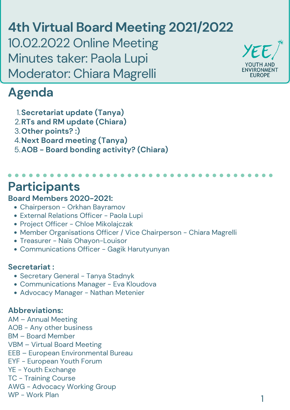## **Board Members 2020-2021:**

- Chairperson Orkhan Bayramov
- External Relations Officer Paola Lupi • Project Officer - Chloe Mikolajczak
- Member Organisations Officer / Vice Chairperson Chiara Magrelli
- Treasurer Naïs Ohayon-Louisor
- Communications Officer Gagik Harutyunyan

#### **Secretariat :**

- Secretary General Tanya Stadnyk
- Communications Manager Eva Kloudova
- Advocacy Manager Nathan Metenier

### **Abbreviations:**

AM – Annual Meeting AOB - Any other business BM – Board Member VBM – Virtual Board Meeting EEB – European Environmental Bureau EYF - European Youth Forum YE - Youth Exchange TC - Training Course AWG - Advocacy Working Group WP - Work Plan

# **Participants**

**4th Virtual Board Meeting 2021/2022** 10.02.2022 Online Meeting Minutes taker: Paola Lupi Moderator: Chiara Magrelli



## **Agenda**

**Secretariat update (Tanya)** 1. **RTs and RM update (Chiara)** 2. **Other points? :)** 3. **Next Board meeting (Tanya)** 4. **AOB - Board bonding activity? (Chiara)** 5.

1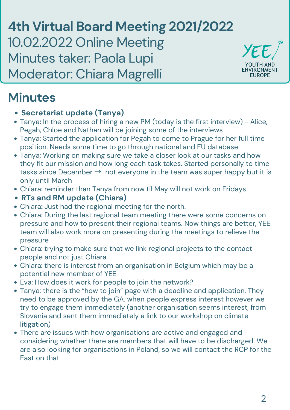**4th Virtual Board Meeting 2021/2022** 10.02.2022 Online Meeting Minutes taker: Paola Lupi Moderator: Chiara Magrelli



- **Secretariat update (Tanya)**
- Tanya**:** In the process of hiring a new PM (today is the first interview) Alice, Pegah, Chloe and Nathan will be joining some of the interviews
- Tanya: Started the application for Pegah to come to Prague for her full time position. Needs some time to go through national and EU database
- Tanya: Working on making sure we take a closer look at our tasks and how they fit our mission and how long each task takes. Started personally to time tasks since December  $\rightarrow$  not everyone in the team was super happy but it is only until March
- Chiara: reminder than Tanya from now til May will not work on Fridays
- **RTs and RM update (Chiara)**
- Chiara**:** Just had the regional meeting for the north.
- Chiara: During the last regional team meeting there were some concerns on pressure and how to present their regional teams. Now things are better, YEE team will also work more on presenting during the meetings to relieve the pressure Chiara: trying to make sure that we link regional projects to the contact people and not just Chiara Chiara: there is interest from an organisation in Belgium which may be a potential new member of YEE Eva: How does it work for people to join the network?  $\bullet$ Tanya: there is the "how to join" page with a deadline and application. They need to be approved by the GA. when people express interest however we try to engage them immediately (another organisation seems interest, from Slovenia and sent them immediately a link to our workshop on climate litigation) There are issues with how organisations are active and engaged and considering whether there are members that will have to be discharged. We are also looking for organisations in Poland, so we will contact the RCP for the East on that

YE

**YOUTH AND** 

ENVIRONMENT

**EUROPE**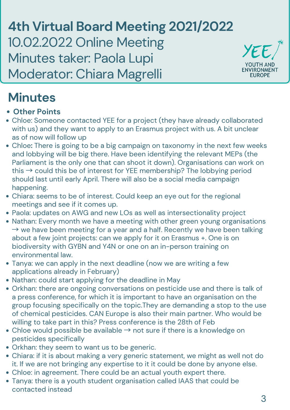**4th Virtual Board Meeting 2021/2022** 10.02.2022 Online Meeting Minutes taker: Paola Lupi Moderator: Chiara Magrelli



# **Minutes**

- **Other Points**
- Chloe: Someone contacted YEE for a project (they have already collaborated with us) and they want to apply to an Erasmus project with us. A bit unclear as of now will follow up
- Chloe**:** There is going to be a big campaign on taxonomy in the next few weeks and lobbying will be big there. Have been identifying the relevant MEPs (the Parliament is the only one that can shoot it down). Organisations can work on this  $\rightarrow$  could this be of interest for YEE membership? The lobbying period should last until early April. There will also be a social media campaign happening.
- Chiara: seems to be of interest. Could keep an eye out for the regional meetings and see if it comes up.
- Paola: updates on AWG and new LOs as well as intersectionality project • Nathan: Every month we have a meeting with other green young organisations –<br>→ we have been meeting for a year and a half. Recently we have been talking about a few joint projects: can we apply for it on Erasmus +. One is on biodiversity with GYBN and Y4N or one on an in-person training on environmental law. Tanya: we can apply in the next deadline (now we are writing a few applications already in February) • Nathan: could start applying for the deadline in May Orkhan: there are ongoing conversations on pesticide use and there is talk of a press conference, for which it is important to have an organisation on the group focusing specifically on the topic.They are demanding a stop to the use of chemical pesticides. CAN Europe is also their main partner. Who would be willing to take part in this? Press conference is the 28th of Feb • Chloe would possible be available  $\rightarrow$  not sure if there is a knowledge on pesticides specifically Orkhan: they seem to want us to be generic. Chiara: if it is about making a very generic statement, we might as well not do it. If we are not bringing any expertise to it it could be done by anyone else. Chloe: in agreement. There could be an actual youth expert there. Tanya: there is a youth student organisation called [IAAS](https://www.iaasworld.org/) that could be contacted instead